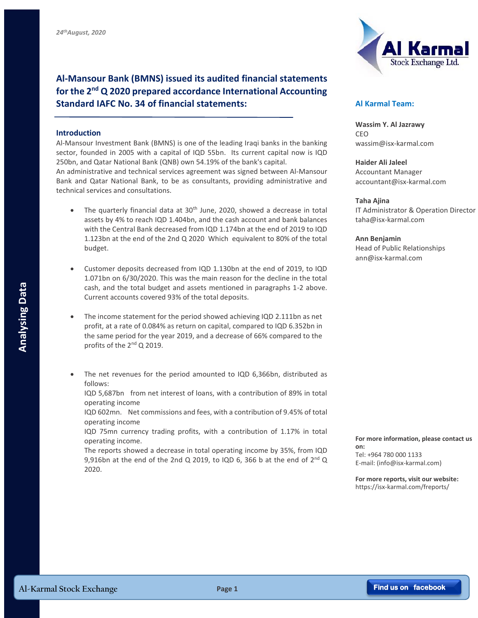**Al-Mansour Bank (BMNS) issued its audited financial statements for the 2nd Q 2020 prepared accordance International Accounting Standard IAFC No. 34 of financial statements:**

## **Introduction**

Al-Mansour Investment Bank (BMNS) is one of the leading Iraqi banks in the banking sector, founded in 2005 with a capital of IQD 55bn. Its current capital now is IQD 250bn, and Qatar National Bank (QNB) own 54.19% of the bank's capital.

An administrative and technical services agreement was signed between Al-Mansour Bank and Qatar National Bank, to be as consultants, providing administrative and technical services and consultations.

- The quarterly financial data at  $30<sup>th</sup>$  June, 2020, showed a decrease in total assets by 4% to reach IQD 1.404bn, and the cash account and bank balances with the Central Bank decreased from IQD 1.174bn at the end of 2019 to IQD 1.123bn at the end of the 2nd Q 2020 Which equivalent to 80% of the total budget.
- Customer deposits decreased from IQD 1.130bn at the end of 2019, to IQD 1.071bn on 6/30/2020. This was the main reason for the decline in the total cash, and the total budget and assets mentioned in paragraphs 1-2 above. Current accounts covered 93% of the total deposits.
- The income statement for the period showed achieving IQD 2.111bn as net profit, at a rate of 0.084% as return on capital, compared to IQD 6.352bn in the same period for the year 2019, and a decrease of 66% compared to the profits of the  $2^{nd}$  Q 2019. **Al-Karmal Stock Exchange**<br> **Al-Karmal Stock Exchange**<br> **Al-Karmal Stock Exchange**<br> **Page 1**<br> **Al-Karmal Stock Exchange**<br> **Page 1**<br> **Al-Karmal Stock Exchange**<br> **Page 1**<br> **Al-Karmal Stock Exchange**<br> **Page 1**<br> **Page 1**<br> **Pag** 
	- The net revenues for the period amounted to IQD 6,366bn, distributed as follows:

IQD 5,687bn from net interest of loans, with a contribution of 89% in total operating income

IQD 602mn. Net commissions and fees, with a contribution of 9.45% of total operating income

IQD 75mn currency trading profits, with a contribution of 1.17% in total operating income.

The reports showed a decrease in total operating income by 35%, from IQD 9,916bn at the end of the 2nd Q 2019, to IQD 6, 366 b at the end of  $2^{nd}$  Q 2020.



## **Al Karmal Team:**

**Wassim Y. Al Jazrawy** CEO wassim@isx-karmal.com

**Haider Ali Jaleel** Accountant Manager accountant@isx-karmal.com

## **Taha Ajina**

IT Administrator & Operation Director taha@isx-karmal.com

**Ann Benjamin**

Head of Public Relationships ann@isx-karmal.com

**For more information, please contact us on:**

Tel: +964 780 000 1133 E-mail: (info@isx-karmal.com)

**For more reports, visit our website:** https://isx-karmal.com/freports/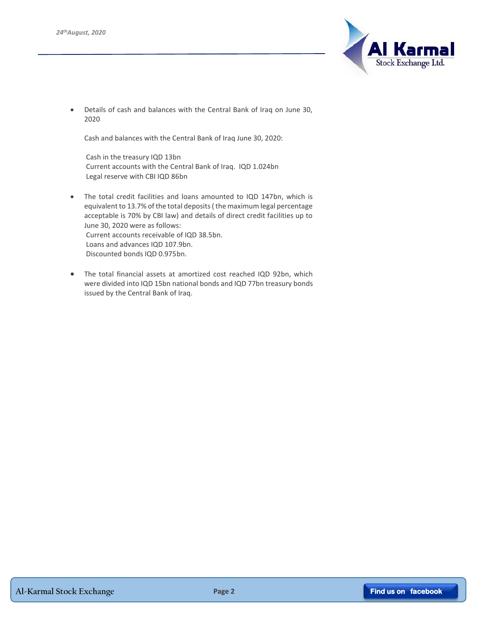

 Details of cash and balances with the Central Bank of Iraq on June 30, 2020

Cash and balances with the Central Bank of Iraq June 30, 2020:

Cash in the treasury IQD 13bn Current accounts with the Central Bank of Iraq. IQD 1.024bn Legal reserve with CBI IQD 86bn

- The total credit facilities and loans amounted to IQD 147bn, which is equivalent to 13.7% of the total deposits ( the maximum legal percentage acceptable is 70% by CBI law) and details of direct credit facilities up to June 30, 2020 were as follows: Current accounts receivable of IQD 38.5bn. Loans and advances IQD 107.9bn. Discounted bonds IQD 0.975bn.
- The total financial assets at amortized cost reached IQD 92bn, which were divided into IQD 15bn national bonds and IQD 77bn treasury bonds issued by the Central Bank of Iraq.